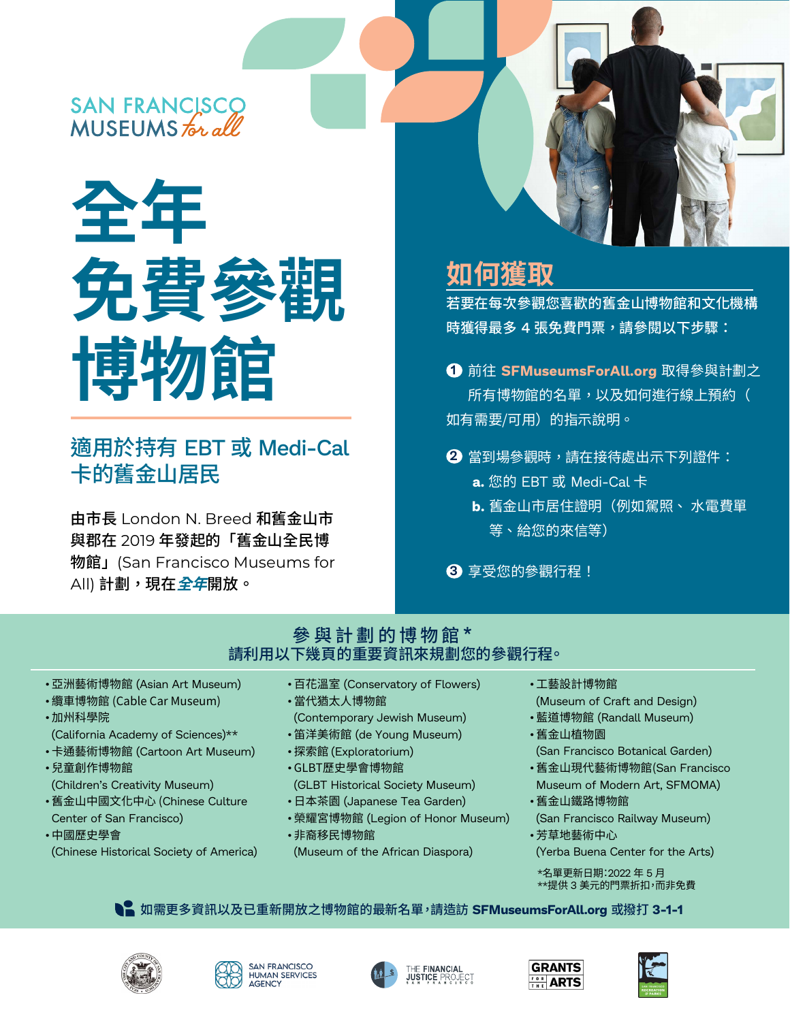# SAN FRANCISCO<br>MUSEUMS for all



## 適用於持有 EBT 或 Medi-Cal 卡的舊金山居民

由市長 London N. Breed 和舊金山市 與郡在 2019 年發起的「舊金山全民博 物館」(San Francisco Museums for All) 計劃,現在*全年*開放。

## **如何獲取**

若要在每次參觀您喜歡的舊金山博物館和文化機構 時獲得最多 4 張免費門票,請參閱以下步驟:

- 前往 **SFMuseumsForAll.org** 取得參與計劃之 **1** 所有博物館的名單,以及如何進行線上預約( 如有需要/可用)的指示說明。
- $\overline{\textbf{2}}$  當到場參觀時,請在接待處出示下列證件:
	- **a.** 您的 EBT 或 Medi-Cal 卡
	- **b.** 舊金山市居住證明(例如駕照、 水電費單 等、給您的來信等)

享受您的參觀行程! **3**

#### 參與計劃的博物館 **\*** 請利用以下幾頁的重要資訊來規劃您的參觀行程。

- •亞洲藝術博物館 (Asian Art Museum)
- •纜車博物館 (Cable Car Museum)
- •加州科學院 (California Academy of Sciences)\*\*
- •卡通藝術博物館 (Cartoon Art Museum)
- •兒童創作博物館 (Children's Creativity Museum)
- •舊金山中國文化中心 (Chinese Culture Center of San Francisco)
- •中國歷史學會 (Chinese Historical Society of America)
- •百花溫室 (Conservatory of Flowers)
- •當代猶太人博物館 (Contemporary Jewish Museum)
- •笛洋美術館 (de Young Museum)
- •探索館 (Exploratorium)
- •GLBT歷史學會博物館
- (GLBT Historical Society Museum)
- •日本茶園 (Japanese Tea Garden)
- •榮耀宮博物館 (Legion of Honor Museum)
- •非裔移民博物館 (Museum of the African Diaspora)
- •工藝設計博物館 (Museum of Craft and Design)
- •藍道博物館 (Randall Museum)
- •舊金山植物園 (San Francisco Botanical Garden)
- •舊金山現代藝術博物館(San Francisco Museum of Modern Art, SFMOMA)
- •舊金山鐵路博物館 (San Francisco Railway Museum)
- •芳草地藝術中心 (Yerba Buena Center for the Arts)
	- \*名單更新日期:2022 年 5 月
	- \*\*提供 3 美元的門票折扣,而非免費











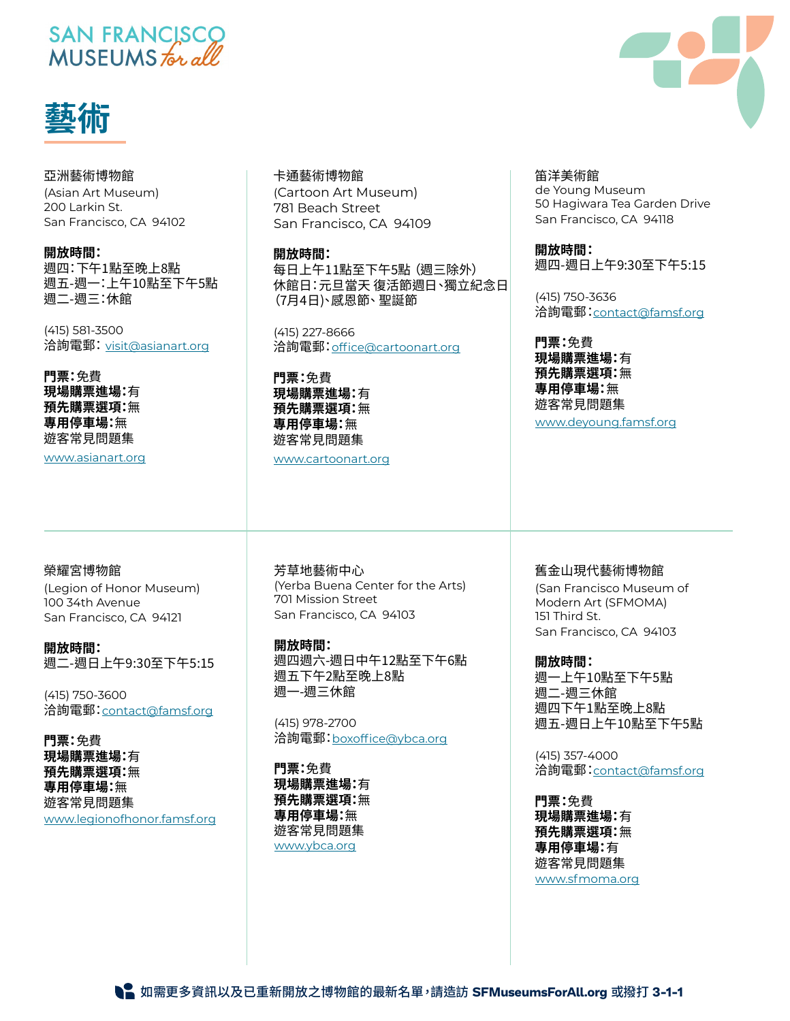## SAN FRANCISCO MUSEUMS for all



#### 亞洲藝術博物館

(Asian Art Museum) 200 Larkin St. San Francisco, CA 94102

#### **開放時間:**

週四:下午1點至晚上8點 週五-週一:上午10點至下午5點 週二-週三:休館

(415) 581-3500 洽詢電郵:[visit@asianart.org](mailto:visit%40asianart.org?subject=)

**門票:**免費 **現場購票進場:**有 **預先購票選項:**無 **專用停車場:**無 遊客常見問題集

[www.asianart.org](http://www.asianart.org)

#### 卡通藝術博物館

(Cartoon Art Museum) 781 Beach Street San Francisco, CA 94109

#### **開放時間:**

每日上午11點至下午5點(週三除外) 休館日:元旦當天 復活節週日、獨立紀念日 (7月4日)、感恩節、聖誕節

(415) 227-8666 洽詢電郵:[office@cartoonart.org](mailto:office%40cartoonart.org%20?subject=)

**門票:**免費 **現場購票進場:**有 **預先購票選項:**無 **專用停車場:**無 遊客常見問題集

[www.cartoonart.org](http://www.cartoonart.org)

#### 笛洋美術館 de Young Museum 50 Hagiwara Tea Garden Drive San Francisco, CA 94118

**開放時間:** 週四-週日上午9:30至下午5:15

(415) 750-3636 洽詢電郵:[contact@famsf.org](mailto:contact%40famsf.org?subject=)

**門票:**免費 **現場購票進場:**有 **預先購票選項:**無 **專用停車場:**無 遊客常見問題集 [www.deyoung.famsf.org](http://www.deyoung.famsf.org)

#### 榮耀宮博物館

(Legion of Honor Museum) 100 34th Avenue San Francisco, CA 94121

**開放時間:** 週二-週日上午9:30至下午5:15

(415) 750-3600 洽詢電郵:[contact@famsf.org](mailto:contact@famsf.org)

**門票:**免費 **現場購票進場:**有 **預先購票選項:**無 **專用停車場:**無 遊客常見問題集 [www.legionofhonor.famsf.org](http://www.legionofhonor.famsf.org) 芳草地藝術中心 (Yerba Buena Center for the Arts) 701 Mission Street San Francisco, CA 94103

**開放時間:** 週四週六-週日中午12點至下午6點 週五下午2點至晚上8點 週一-週三休館

(415) 978-2700 洽詢電郵:[boxoffice@ybca.org](mailto:boxoffice%40ybca.org?subject=)

**門票:**免費 **現場購票進場:**有 **預先購票選項:**無 **專用停車場:**無 遊客常見問題集 [www.ybca.org](http://www.ybca.org)

舊金山現代藝術博物館 (San Francisco Museum of Modern Art (SFMOMA) 151 Third St. San Francisco, CA 94103

**開放時間:** 週一上午10點至下午5點 週二-週三休館 週四下午1點至晚上8點 週五-週日上午10點至下午5點

(415) 357-4000 洽詢電郵:[contact@famsf.org](mailto:contact@famsf.org)

**門票:**免費 **現場購票進場:**有 **預先購票選項:**無 **專用停車場:**有 遊客常見問題集 [www.sfmoma.org](http://www.sfmoma.org)



如需更多資訊以及已重新開放之博物館的最新名單,請造訪 **SFMuseumsForAll.org** 或撥打 **3-1-1**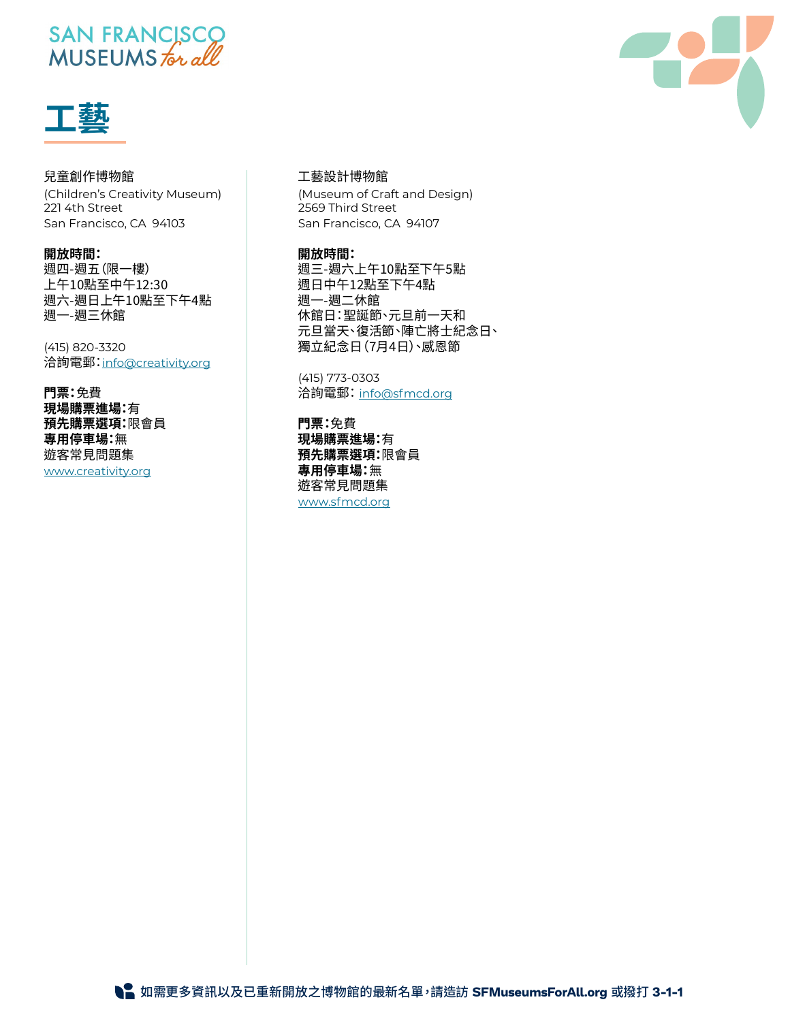## SAN FRANCISCO<br>MUSEUMS for all



#### 兒童創作博物館

(Children's Creativity Museum) 221 4th Street San Francisco, CA 94103

#### **開放時間:**

週四-週五(限一樓) 上午10點至中午12:30 週六-週日上午10點至下午4點 週一-週三休館

(415) 820-3320 洽詢電郵:[info@creativity.org](mailto:info%40creativity.org?subject=)

**門票:**免費 **現場購票進場:**有 **預先購票選項:**限會員 **專用停車場:**無 遊客常見問題集 [www.creativity.org](http://www.creativity.org )

#### 工藝設計博物館

(Museum of Craft and Design) 2569 Third Street San Francisco, CA 94107

#### **開放時間:**

週三-週六上午10點至下午5點 週日中午12點至下午4點 週一-週二休館 休館日:聖誕節、元旦前一天和 元旦當天、復活節、陣亡將士紀念日、 獨立紀念日(7月4日)、感恩節

(415) 773-0303 洽詢電郵:[info@sfmcd.org](mailto:info%40sfmcd.org?subject=)

**門票:**免費 **現場購票進場:**有 **預先購票選項:**限會員 **專用停車場:**無 遊客常見問題集 [www.sfmcd.org](http://www.sfmcd.org)

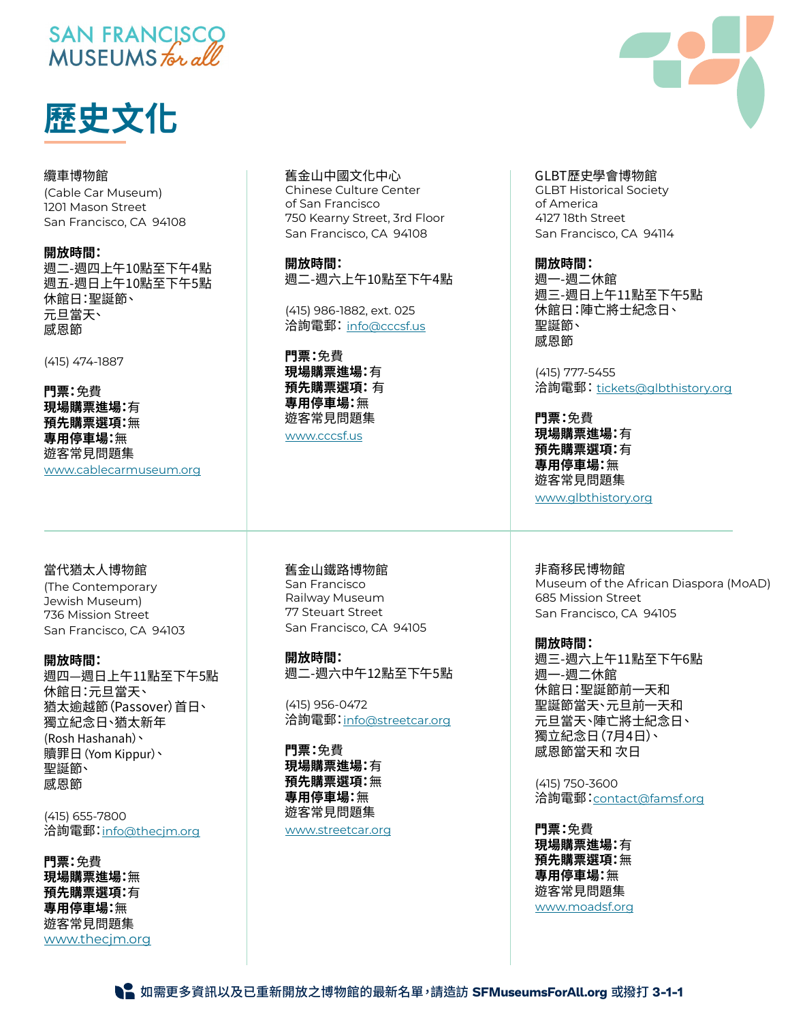## SAN FRANCISCO MUSEUMS for all



纜車博物館 (Cable Car Museum) 1201 Mason Street San Francisco, CA 94108

**開放時間:** 週二-週四上午10點至下午4點 週五-週日上午10點至下午5點 休館日:聖誕節、 元旦當天、 感恩節

(415) 474-1887

**門票:**免費 **現場購票進場:**有 **預先購票選項:**無 **專用停車場:**無 遊客常見問題集 [www.cablecarmuseum.org](http://www.cablecarmuseum.org)

當代猶太人博物館 (The Contemporary Jewish Museum) 736 Mission Street San Francisco, CA 94103

**開放時間:** 週四—週日上午11點至下午5點 休館日:元旦當天、 猶太逾越節(Passover)首日、 獨立紀念日、猶太新年 (Rosh Hashanah)、 贖罪日(Yom Kippur)、 聖誕節、 感恩節

(415) 655-7800 洽詢電郵:[info@thecjm.org](mailto:info%40thecjm.org?subject=)

**門票:**免費 **現場購票進場:**無 **預先購票選項:**有 **專用停車場:**無 遊客常見問題集 [www.thecjm.org](http://www.thecjm.org) 舊金山中國文化中心

Chinese Culture Center of San Francisco 750 Kearny Street, 3rd Floor San Francisco, CA 94108

**開放時間:** 週二-週六上午10點至下午4點

(415) 986-1882, ext. 025 洽詢電郵:[info@cccsf.us](mailto:info%40cccsf.us?subject=)

**門票:**免費 **現場購票進場:**有 **預先購票選項:** 有 **專用停車場:**無 遊客常見問題集 [www.cccsf.us](http://www.cccsf.us)

舊金山鐵路博物館 San Francisco Railway Museum 77 Steuart Street San Francisco, CA 94105

**開放時間:** 週二-週六中午12點至下午5點

(415) 956-0472 洽詢電郵:[info@streetcar.org](mailto:info%40streetcar.org?subject=)

**門票:**免費 **現場購票進場:**有 **預先購票選項:**無 **專用停車場:**無 遊客常見問題集

[www.streetcar.org](http://www.streetcar.org)

#### GLBT歷史學會博物館

GLBT Historical Society of America 4127 18th Street San Francisco, CA 94114

**開放時間:**

週一-週二休館 週三-週日上午11點至下午5點 休館日:陣亡將士紀念日、 聖誕節、 感恩節

(415) 777-5455 洽詢電郵: [tickets@glbthistory.org](mailto:tickets%40glbthistory.org%20?subject=)

**門票:**免費 **現場購票進場:**有 **預先購票選項:**有 **專用停車場:**無 遊客常見問題集 [www.glbthistory.org](http://www.glbthistory.org)

非裔移民博物館 Museum of the African Diaspora (MoAD) 685 Mission Street San Francisco, CA 94105

**開放時間:** 週三-週六上午11點至下午6點 週一-週二休館 休館日:聖誕節前一天和 聖誕節當天、元旦前一天和 元旦當天、陣亡將士紀念日、 獨立紀念日(7月4日)、 感恩節當天和 次日

(415) 750-3600 洽詢電郵:[contact@famsf.org](mailto:contact%40famsf.org?subject=)

**門票:**免費 **現場購票進場:**有 **預先購票選項:**無 **專用停車場:**無 遊客常見問題集 [www.moadsf.org](http://www.moadsf.org)